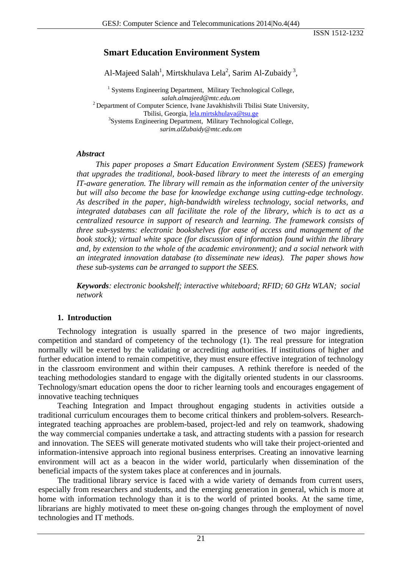ISSN 1512-1232

# **Smart Education Environment System**

Al-Majeed Salah<sup>1</sup>, Mirtskhulava Lela<sup>2</sup>, Sarim Al-Zubaidy<sup>3</sup>,

<sup>1</sup> Systems Engineering Department, Military Technological College, *salah.almajeed@mtc.edu.om* 2 Department of Computer Science, Ivane Javakhishvili Tbilisi State University, Tbilisi, Georgia, [lela.mirtskhulava@tsu.ge](mailto:lela.mirtskhulava@tsu.ge) <sup>3</sup> <sup>3</sup>Systems Engineering Department, Military Technological College, *sarim.alZubaidy@mtc.edu.om* 

#### *Abstract*

*This paper proposes a Smart Education Environment System (SEES) framework that upgrades the traditional, book-based library to meet the interests of an emerging IT-aware generation. The library will remain as the information center of the university but will also become the base for knowledge exchange using cutting-edge technology. As described in the paper, high-bandwidth wireless technology, social networks, and integrated databases can all facilitate the role of the library, which is to act as a centralized resource in support of research and learning. The framework consists of three sub-systems: electronic bookshelves (for ease of access and management of the book stock); virtual white space (for discussion of information found within the library and, by extension to the whole of the academic environment); and a social network with an integrated innovation database (to disseminate new ideas). The paper shows how these sub-systems can be arranged to support the SEES.* 

*Keywords: electronic bookshelf; interactive whiteboard; RFID; 60 GHz WLAN; social network* 

## **1. Introduction**

Technology integration is usually sparred in the presence of two major ingredients, competition and standard of competency of the technology (1). The real pressure for integration normally will be exerted by the validating or accrediting authorities. If institutions of higher and further education intend to remain competitive, they must ensure effective integration of technology in the classroom environment and within their campuses. A rethink therefore is needed of the teaching methodologies standard to engage with the digitally oriented students in our classrooms. Technology/smart education opens the door to richer learning tools and encourages engagement of innovative teaching techniques

Teaching Integration and Impact throughout engaging students in activities outside a traditional curriculum encourages them to become critical thinkers and problem-solvers. Researchintegrated teaching approaches are problem-based, project-led and rely on teamwork, shadowing the way commercial companies undertake a task, and attracting students with a passion for research and innovation. The SEES will generate motivated students who will take their project-oriented and information-intensive approach into regional business enterprises. Creating an innovative learning environment will act as a beacon in the wider world, particularly when dissemination of the beneficial impacts of the system takes place at conferences and in journals.

The traditional library service is faced with a wide variety of demands from current users, especially from researchers and students, and the emerging generation in general, which is more at home with information technology than it is to the world of printed books. At the same time, librarians are highly motivated to meet these on-going changes through the employment of novel technologies and IT methods.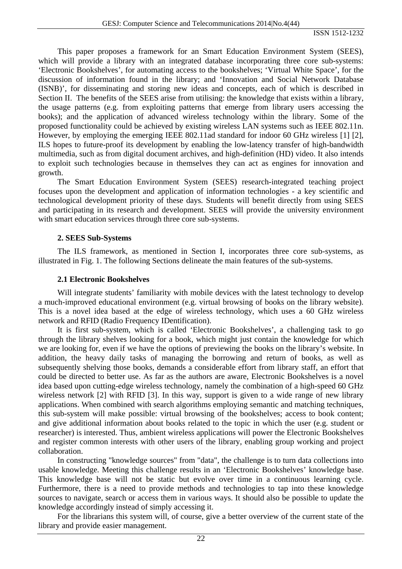This paper proposes a framework for an Smart Education Environment System (SEES), which will provide a library with an integrated database incorporating three core sub-systems: 'Electronic Bookshelves', for automating access to the bookshelves; 'Virtual White Space', for the discussion of information found in the library; and 'Innovation and Social Network Database (ISNB)', for disseminating and storing new ideas and concepts, each of which is described in Section II. The benefits of the SEES arise from utilising: the knowledge that exists within a library, the usage patterns (e.g. from exploiting patterns that emerge from library users accessing the books); and the application of advanced wireless technology within the library. Some of the proposed functionality could be achieved by existing wireless LAN systems such as IEEE 802.11n. However, by employing the emerging IEEE 802.11ad standard for indoor 60 GHz wireless [1] [2], ILS hopes to future-proof its development by enabling the low-latency transfer of high-bandwidth multimedia, such as from digital document archives, and high-definition (HD) video. It also intends to exploit such technologies because in themselves they can act as engines for innovation and growth.

The Smart Education Environment System (SEES) research-integrated teaching project focuses upon the development and application of information technologies - a key scientific and technological development priority of these days. Students will benefit directly from using SEES and participating in its research and development. SEES will provide the university environment with smart education services through three core sub-systems.

## **2. SEES Sub-Systems**

The ILS framework, as mentioned in Section I, incorporates three core sub-systems, as illustrated in Fig. 1. The following Sections delineate the main features of the sub-systems.

## **2.1 Electronic Bookshelves**

Will integrate students' familiarity with mobile devices with the latest technology to develop a much-improved educational environment (e.g. virtual browsing of books on the library website). This is a novel idea based at the edge of wireless technology, which uses a 60 GHz wireless network and RFID (Radio Frequency IDentification).

It is first sub-system, which is called 'Electronic Bookshelves', a challenging task to go through the library shelves looking for a book, which might just contain the knowledge for which we are looking for, even if we have the options of previewing the books on the library's website. In addition, the heavy daily tasks of managing the borrowing and return of books, as well as subsequently shelving those books, demands a considerable effort from library staff, an effort that could be directed to better use. As far as the authors are aware, Electronic Bookshelves is a novel idea based upon cutting-edge wireless technology, namely the combination of a high-speed 60 GHz wireless network [2] with RFID [3]. In this way, support is given to a wide range of new library applications. When combined with search algorithms employing semantic and matching techniques, this sub-system will make possible: virtual browsing of the bookshelves; access to book content; and give additional information about books related to the topic in which the user (e.g. student or researcher) is interested. Thus, ambient wireless applications will power the Electronic Bookshelves and register common interests with other users of the library, enabling group working and project collaboration.

In constructing "knowledge sources" from "data", the challenge is to turn data collections into usable knowledge. Meeting this challenge results in an 'Electronic Bookshelves' knowledge base. This knowledge base will not be static but evolve over time in a continuous learning cycle. Furthermore, there is a need to provide methods and technologies to tap into these knowledge sources to navigate, search or access them in various ways. It should also be possible to update the knowledge accordingly instead of simply accessing it.

For the librarians this system will, of course, give a better overview of the current state of the library and provide easier management.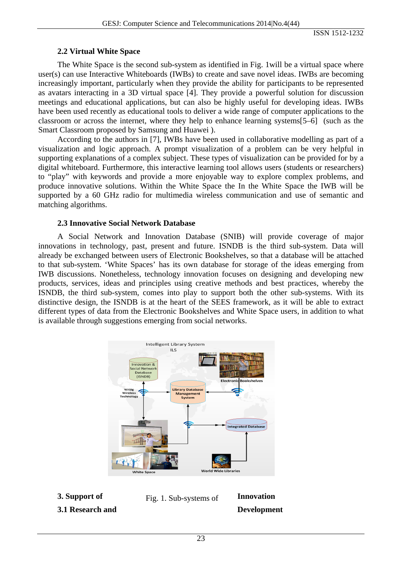ISSN 1512-1232

### **2.2 Virtual White Space**

The White Space is the second sub-system as identified in Fig. 1will be a virtual space where user(s) can use Interactive Whiteboards (IWBs) to create and save novel ideas. IWBs are becoming increasingly important, particularly when they provide the ability for participants to be represented as avatars interacting in a 3D virtual space [4]. They provide a powerful solution for discussion meetings and educational applications, but can also be highly useful for developing ideas. IWBs have been used recently as educational tools to deliver a wide range of computer applications to the classroom or across the internet, where they help to enhance learning systems[5–6] (such as the Smart Classroom proposed by Samsung and Huawei ).

According to the authors in [7], IWBs have been used in collaborative modelling as part of a visualization and logic approach. A prompt visualization of a problem can be very helpful in supporting explanations of a complex subject. These types of visualization can be provided for by a digital whiteboard. Furthermore, this interactive learning tool allows users (students or researchers) to "play" with keywords and provide a more enjoyable way to explore complex problems, and produce innovative solutions. Within the White Space the In the White Space the IWB will be supported by a 60 GHz radio for multimedia wireless communication and use of semantic and matching algorithms.

#### **2.3 Innovative Social Network Database**

A Social Network and Innovation Database (SNIB) will provide coverage of major innovations in technology, past, present and future. ISNDB is the third sub-system. Data will already be exchanged between users of Electronic Bookshelves, so that a database will be attached to that sub-system. 'White Spaces' has its own database for storage of the ideas emerging from IWB discussions. Nonetheless, technology innovation focuses on designing and developing new products, services, ideas and principles using creative methods and best practices, whereby the ISNDB, the third sub-system, comes into play to support both the other sub-systems. With its distinctive design, the ISNDB is at the heart of the SEES framework, as it will be able to extract different types of data from the Electronic Bookshelves and White Space users, in addition to what is available through suggestions emerging from social networks.





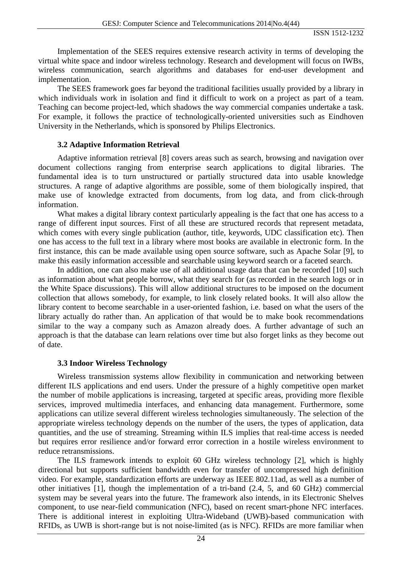Implementation of the SEES requires extensive research activity in terms of developing the virtual white space and indoor wireless technology. Research and development will focus on IWBs, wireless communication, search algorithms and databases for end-user development and implementation.

The SEES framework goes far beyond the traditional facilities usually provided by a library in which individuals work in isolation and find it difficult to work on a project as part of a team. Teaching can become project-led, which shadows the way commercial companies undertake a task. For example, it follows the practice of technologically-oriented universities such as Eindhoven University in the Netherlands, which is sponsored by Philips Electronics.

#### **3.2 Adaptive Information Retrieval**

Adaptive information retrieval [8] covers areas such as search, browsing and navigation over document collections ranging from enterprise search applications to digital libraries. The fundamental idea is to turn unstructured or partially structured data into usable knowledge structures. A range of adaptive algorithms are possible, some of them biologically inspired, that make use of knowledge extracted from documents, from log data, and from click-through information.

What makes a digital library context particularly appealing is the fact that one has access to a range of different input sources. First of all these are structured records that represent metadata, which comes with every single publication (author, title, keywords, UDC classification etc). Then one has access to the full text in a library where most books are available in electronic form. In the first instance, this can be made available using open source software, such as Apache Solar [9], to make this easily information accessible and searchable using keyword search or a faceted search.

In addition, one can also make use of all additional usage data that can be recorded [10] such as information about what people borrow, what they search for (as recorded in the search logs or in the White Space discussions). This will allow additional structures to be imposed on the document collection that allows somebody, for example, to link closely related books. It will also allow the library content to become searchable in a user-oriented fashion, i.e. based on what the users of the library actually do rather than. An application of that would be to make book recommendations similar to the way a company such as Amazon already does. A further advantage of such an approach is that the database can learn relations over time but also forget links as they become out of date.

#### **3.3 Indoor Wireless Technology**

Wireless transmission systems allow flexibility in communication and networking between different ILS applications and end users. Under the pressure of a highly competitive open market the number of mobile applications is increasing, targeted at specific areas, providing more flexible services, improved multimedia interfaces, and enhancing data management. Furthermore, some applications can utilize several different wireless technologies simultaneously. The selection of the appropriate wireless technology depends on the number of the users, the types of application, data quantities, and the use of streaming. Streaming within ILS implies that real-time access is needed but requires error resilience and/or forward error correction in a hostile wireless environment to reduce retransmissions.

The ILS framework intends to exploit 60 GHz wireless technology [2], which is highly directional but supports sufficient bandwidth even for transfer of uncompressed high definition video. For example, standardization efforts are underway as IEEE 802.11ad, as well as a number of other initiatives [1], though the implementation of a tri-band (2.4, 5, and 60 GHz) commercial system may be several years into the future. The framework also intends, in its Electronic Shelves component, to use near-field communication (NFC), based on recent smart-phone NFC interfaces. There is additional interest in exploiting Ultra-Wideband (UWB)-based communication with RFIDs, as UWB is short-range but is not noise-limited (as is NFC). RFIDs are more familiar when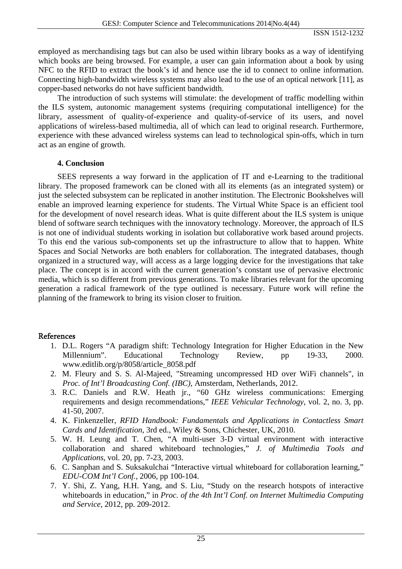employed as merchandising tags but can also be used within library books as a way of identifying which books are being browsed. For example, a user can gain information about a book by using NFC to the RFID to extract the book's id and hence use the id to connect to online information. Connecting high-bandwidth wireless systems may also lead to the use of an optical network [11], as copper-based networks do not have sufficient bandwidth.

The introduction of such systems will stimulate: the development of traffic modelling within the ILS system, autonomic management systems (requiring computational intelligence) for the library, assessment of quality-of-experience and quality-of-service of its users, and novel applications of wireless-based multimedia, all of which can lead to original research. Furthermore, experience with these advanced wireless systems can lead to technological spin-offs, which in turn act as an engine of growth.

#### **4. Conclusion**

SEES represents a way forward in the application of IT and e-Learning to the traditional library. The proposed framework can be cloned with all its elements (as an integrated system) or just the selected subsystem can be replicated in another institution. The Electronic Bookshelves will enable an improved learning experience for students. The Virtual White Space is an efficient tool for the development of novel research ideas. What is quite different about the ILS system is unique blend of software search techniques with the innovatory technology. Moreover, the approach of ILS is not one of individual students working in isolation but collaborative work based around projects. To this end the various sub-components set up the infrastructure to allow that to happen. White Spaces and Social Networks are both enablers for collaboration. The integrated databases, though organized in a structured way, will access as a large logging device for the investigations that take place. The concept is in accord with the current generation's constant use of pervasive electronic media, which is so different from previous generations. To make libraries relevant for the upcoming generation a radical framework of the type outlined is necessary. Future work will refine the planning of the framework to bring its vision closer to fruition.

#### References

- 1. D.L. Rogers "A paradigm shift: Technology Integration for Higher Education in the New Millennium". Educational Technology Review, pp 19-33, 2000. www.editlib.org/p/8058/article\_8058.pdf
- 2. M. Fleury and S. S. Al-Majeed, "Streaming uncompressed HD over WiFi channels", in *Proc. of Int'l Broadcasting Conf. (IBC)*, Amsterdam, Netherlands, 2012.
- 3. R.C. Daniels and R.W. Heath jr., "60 GHz wireless communications: Emerging requirements and design recommendations," *IEEE Vehicular Technology*, vol. 2, no. 3, pp. 41-50, 2007.
- 4. K. Finkenzeller, *RFID Handbook: Fundamentals and Applications in Contactless Smart Cards and Identification*, 3rd ed., Wiley & Sons, Chichester, UK, 2010.
- 5. W. H. Leung and T. Chen, "A multi-user 3-D virtual environment with interactive collaboration and shared whiteboard technologies," *J. of Multimedia Tools and Applications*, vol. 20, pp. 7-23, 2003.
- 6. C. Sanphan and S. Suksakulchai "Interactive virtual whiteboard for collaboration learning," *EDU-COM Int'l Conf.,* 2006, pp 100-104.
- 7. Y. Shi, Z. Yang, H.H. Yang, and S. Liu, "Study on the research hotspots of interactive whiteboards in education," in *Proc. of the 4th Int'l Conf. on Internet Multimedia Computing and Service*, 2012, pp. 209-2012.